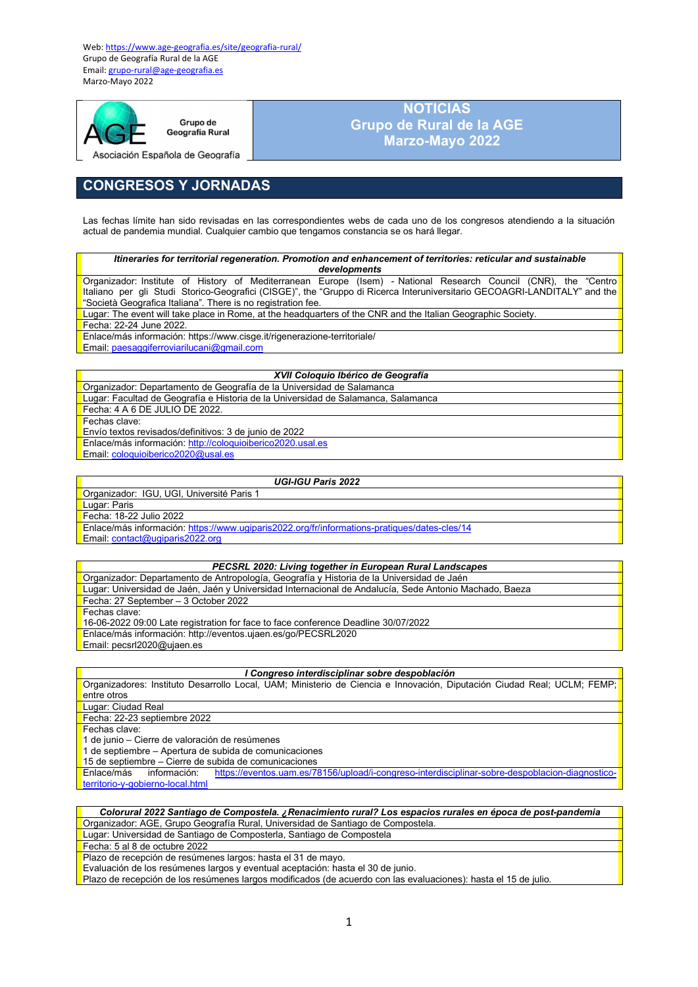

Grupo de Geografía Rural

Asociación Española de Geografía

# CONGRESOS Y JORNADAS

Las fechas límite han sido revisadas en las correspondientes webs de cada uno de los congresos atendiendo a la situación actual de pandemia mundial. Cualquier cambio que tengamos constancia se os hará llegar.

NOTICIAS Grupo de Rural de la AGE Marzo-Mayo 2022

Itineraries for territorial regeneration. Promotion and enhancement of territories: reticular and sustainable

developments

Organizador: Institute of History of Mediterranean Europe (Isem) - National Research Council (CNR), the "Centro Italiano per gli Studi Storico-Geografici (CISGE)", the "Gruppo di Ricerca Interuniversitario GECOAGRI-LANDITALY" and the "Società Geografica Italiana". There is no registration fee.

Lugar: The event will take place in Rome, at the headquarters of the CNR and the Italian Geographic Society.

Fecha: 22-24 June 2022.

Enlace/más información: https://www.cisge.it/rigenerazione-territoriale/ Email: paesaggiferroviarilucani@gmail.com

### XVII Coloquio Ibérico de Geografía

Organizador: Departamento de Geografía de la Universidad de Salamanca Lugar: Facultad de Geografía e Historia de la Universidad de Salamanca, Salamanca Fecha: 4 A 6 DE JULIO DE 2022. Fechas clave: Envío textos revisados/definitivos: 3 de junio de 2022 Enlace/más información: http://coloquioiberico2020.usal.es Email: coloquioib

### UGI-IGU Paris 2022

Organizador: IGU, UGI, Université Paris 1

Lugar: Paris

Fecha: 18-22 Julio 2022

Enlace/más información: https://www.ugiparis2022.org/fr/informations-pratiques/dates-cles/14

Email: contact@ugiparis2022.org

### PECSRL 2020: Living together in European Rural Landscapes

Organizador: Departamento de Antropología, Geografía y Historia de la Universidad de Jaén Lugar: Universidad de Jaén, Jaén y Universidad Internacional de Andalucía, Sede Antonio Machado, Baeza Fecha: 27 September – 3 October 2022 Fechas clave: 16-06-2022 09:00 Late registration for face to face conference Deadline 30/07/2022 Enlace/más información: http://eventos.ujaen.es/go/PECSRL2020 Email: pecsrl2020@ujaen.es

### I Congreso interdisciplinar sobre despoblación

Organizadores: Instituto Desarrollo Local, UAM; Ministerio de Ciencia e Innovación, Diputación Ciudad Real; UCLM; FEMP; entre otros Lugar: Ciudad Real Fecha: 22-23 septiembre 2022

Fechas clave:

1 de junio – Cierre de valoración de resúmenes

1 de septiembre – Apertura de subida de comunicaciones

15 de septiembre – Cierre de subida de comunicaciones

Enlace/más información: https://eventos.uam.es/78156/upload/i-congreso-interdisciplinar-sobre-despoblacion-diagnosticoterritorio-y-gobierno-local.html

### Colorural 2022 Santiago de Compostela. ¿Renacimiento rural? Los espacios rurales en época de post-pandemia Organizador: AGE, Grupo Geografía Rural, Universidad de Santiago de Compostela.

Lugar: Universidad de Santiago de Composterla, Santiago de Compostela

Fecha: 5 al 8 de octubre 2022

Plazo de recepción de resúmenes largos: hasta el 31 de mayo.

Evaluación de los resúmenes largos y eventual aceptación: hasta el 30 de junio.

Plazo de recepción de los resúmenes largos modificados (de acuerdo con las evaluaciones): hasta el 15 de julio.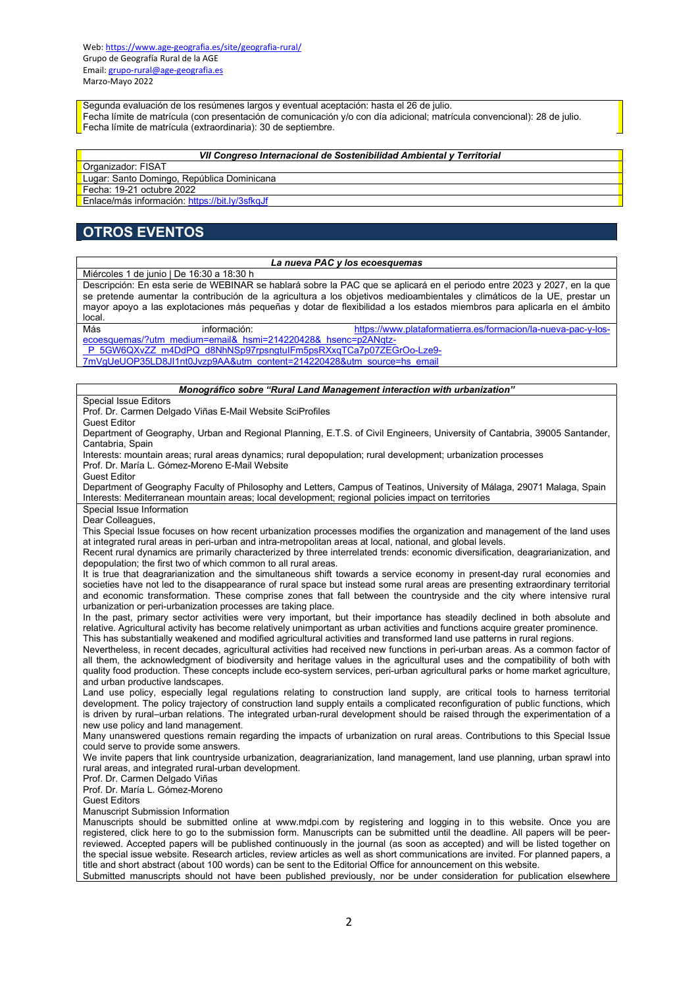Segunda evaluación de los resúmenes largos y eventual aceptación: hasta el 26 de julio. Fecha límite de matrícula (con presentación de comunicación y/o con día adicional; matrícula convencional): 28 de julio. Fecha límite de matrícula (extraordinaria): 30 de septiembre.

#### VII Congreso Internacional de Sostenibilidad Ambiental y Territorial

Organizador: FISAT

Lugar: Santo Domingo, República Dominicana

Fecha: 19-21 octubre 2022

Enlace/más información: https://bit.ly/3sfkqJf

# OTROS EVENTOS

#### La nueva PAC y los ecoesquemas

Miércoles 1 de junio | De 16:30 a 18:30 h

Descripción: En esta serie de WEBINAR se hablará sobre la PAC que se aplicará en el periodo entre 2023 y 2027, en la que se pretende aumentar la contribución de la agricultura a los objetivos medioambientales y climáticos de la UE, prestar un mayor apoyo a las explotaciones más pequeñas y dotar de flexibilidad a los estados miembros para aplicarla en el ámbito local.<br>Más

información: https://www.plataformatierra.es/formacion/la-nueva-pac-y-losecoesquemas/?utm\_medium=email&\_hsmi=214220428&\_hsenc=p2ANqtz-\_P\_5GW6QXvZZ\_m4DdPQ\_d8NhNSp97rpsngtuIFm5psRXxqTCa7p07ZEGrOo-Lze9-

7mVgUeUOP35LD8JI1nt0Jvzp9AA&utm\_content=214220428&utm\_source=hs\_email

Monográfico sobre "Rural Land Management interaction with urbanization"

Special Issue Editors Prof. Dr. Carmen Delgado Viñas E-Mail Website SciProfiles

Guest Editor

Department of Geography, Urban and Regional Planning, E.T.S. of Civil Engineers, University of Cantabria, 39005 Santander, Cantabria, Spain

Interests: mountain areas; rural areas dynamics; rural depopulation; rural development; urbanization processes Prof. Dr. María L. Gómez-Moreno E-Mail Website

Guest Editor

Department of Geography Faculty of Philosophy and Letters, Campus of Teatinos, University of Málaga, 29071 Malaga, Spain Interests: Mediterranean mountain areas; local development; regional policies impact on territories

Special Issue Information

Dear Colleagues,

This Special Issue focuses on how recent urbanization processes modifies the organization and management of the land uses at integrated rural areas in peri-urban and intra-metropolitan areas at local, national, and global levels.

Recent rural dynamics are primarily characterized by three interrelated trends: economic diversification, deagrarianization, and depopulation; the first two of which common to all rural areas.

It is true that deagrarianization and the simultaneous shift towards a service economy in present-day rural economies and societies have not led to the disappearance of rural space but instead some rural areas are presenting extraordinary territorial and economic transformation. These comprise zones that fall between the countryside and the city where intensive rural urbanization or peri-urbanization processes are taking place.

In the past, primary sector activities were very important, but their importance has steadily declined in both absolute and relative. Agricultural activity has become relatively unimportant as urban activities and functions acquire greater prominence.

This has substantially weakened and modified agricultural activities and transformed land use patterns in rural regions.

Nevertheless, in recent decades, agricultural activities had received new functions in peri-urban areas. As a common factor of all them, the acknowledgment of biodiversity and heritage values in the agricultural uses and the compatibility of both with quality food production. These concepts include eco-system services, peri-urban agricultural parks or home market agriculture, and urban productive landscapes.

Land use policy, especially legal regulations relating to construction land supply, are critical tools to harness territorial development. The policy trajectory of construction land supply entails a complicated reconfiguration of public functions, which is driven by rural–urban relations. The integrated urban-rural development should be raised through the experimentation of a new use policy and land management.

Many unanswered questions remain regarding the impacts of urbanization on rural areas. Contributions to this Special Issue could serve to provide some answers.

We invite papers that link countryside urbanization, deagrarianization, land management, land use planning, urban sprawl into rural areas, and integrated rural-urban development.

Prof. Dr. Carmen Delgado Viñas

Prof. Dr. María L. Gómez-Moreno

Guest Editors

### Manuscript Submission Information

Manuscripts should be submitted online at www.mdpi.com by registering and logging in to this website. Once you are registered, click here to go to the submission form. Manuscripts can be submitted until the deadline. All papers will be peerreviewed. Accepted papers will be published continuously in the journal (as soon as accepted) and will be listed together on the special issue website. Research articles, review articles as well as short communications are invited. For planned papers, a title and short abstract (about 100 words) can be sent to the Editorial Office for announcement on this website. Submitted manuscripts should not have been published previously, nor be under consideration for publication elsewhere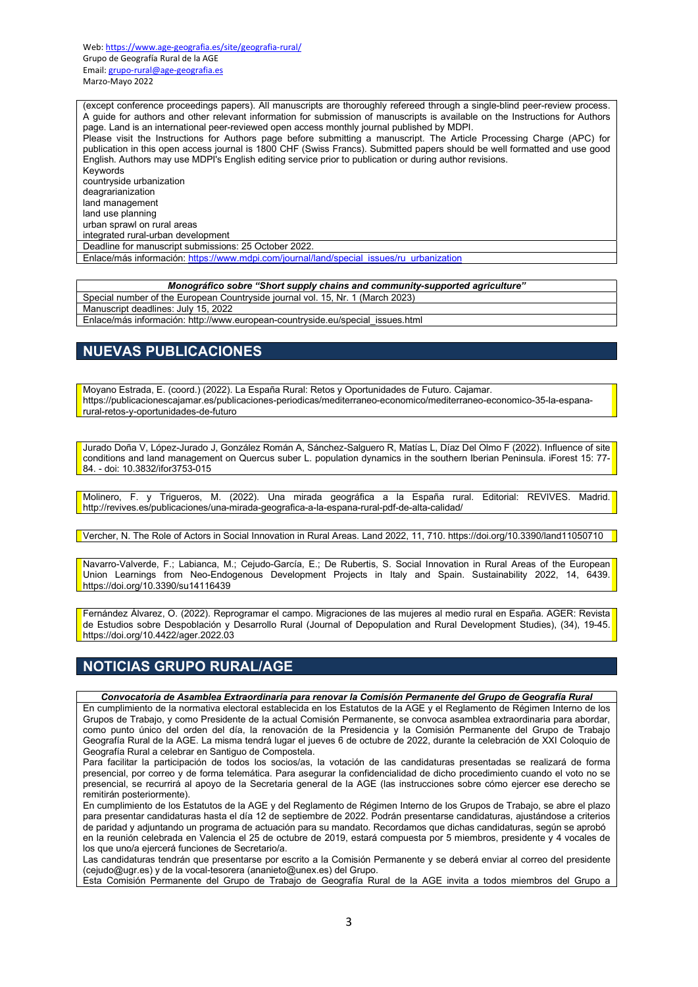(except conference proceedings papers). All manuscripts are thoroughly refereed through a single-blind peer-review process. A guide for authors and other relevant information for submission of manuscripts is available on the Instructions for Authors page. Land is an international peer-reviewed open access monthly journal published by MDPI. Please visit the Instructions for Authors page before submitting a manuscript. The Article Processing Charge (APC) for publication in this open access journal is 1800 CHF (Swiss Francs). Submitted papers should be well formatted and use good English. Authors may use MDPI's English editing service prior to publication or during author revisions. Keywords countryside urbanization

deagrarianization land management land use planning urban sprawl on rural areas integrated rural-urban development Deadline for manuscript submissions: 25 October 2022.

Enlace/más información: https://www.mdpi.com/journal/land/special\_issues/ru\_urbanization

Monográfico sobre "Short supply chains and community-supported agriculture" Special number of the European Countryside journal vol. 15, Nr. 1 (March 2023) Manuscript deadlines: July 15, 2022 Enlace/más información: http://www.european-countryside.eu/special\_issues.html

# NUEVAS PUBLICACIONES

Moyano Estrada, E. (coord.) (2022). La España Rural: Retos y Oportunidades de Futuro. Cajamar. https://publicacionescajamar.es/publicaciones-periodicas/mediterraneo-economico/mediterraneo-economico-35-la-espanarural-retos-y-oportunidades-de-futuro

Jurado Doña V, López-Jurado J, González Román A, Sánchez-Salguero R, Matías L, Díaz Del Olmo F (2022). Influence of site conditions and land management on Quercus suber L. population dynamics in the southern Iberian Peninsula. iForest 15: 77- 84. - doi: 10.3832/ifor3753-015

Molinero, F. y Trigueros, M. (2022). Una mirada geográfica a la España rural. Editorial: REVIVES. Madrid. http://revives.es/publicaciones/una-mirada-geografica-a-la-espana-rural-pdf-de-alta-calidad/

Vercher, N. The Role of Actors in Social Innovation in Rural Areas. Land 2022, 11, 710. https://doi.org/10.3390/land11050710

Navarro-Valverde, F.; Labianca, M.; Cejudo-García, E.; De Rubertis, S. Social Innovation in Rural Areas of the European Union Learnings from Neo-Endogenous Development Projects in Italy and Spain. Sustainability 2022, 14, 6439. https://doi.org/10.3390/su14116439

Fernández Álvarez, O. (2022). Reprogramar el campo. Migraciones de las mujeres al medio rural en España. AGER: Revista de Estudios sobre Despoblación y Desarrollo Rural (Journal of Depopulation and Rural Development Studies), (34), 19-45. https://doi.org/10.4422/ager.2022.03

# NOTICIAS GRUPO RURAL/AGE

Convocatoria de Asamblea Extraordinaria para renovar la Comisión Permanente del Grupo de Geografía Rural En cumplimiento de la normativa electoral establecida en los Estatutos de la AGE y el Reglamento de Régimen Interno de los Grupos de Trabajo, y como Presidente de la actual Comisión Permanente, se convoca asamblea extraordinaria para abordar, como punto único del orden del día, la renovación de la Presidencia y la Comisión Permanente del Grupo de Trabajo Geografía Rural de la AGE. La misma tendrá lugar el jueves 6 de octubre de 2022, durante la celebración de XXI Coloquio de Geografía Rural a celebrar en Santiguo de Compostela.

Para facilitar la participación de todos los socios/as, la votación de las candidaturas presentadas se realizará de forma presencial, por correo y de forma telemática. Para asegurar la confidencialidad de dicho procedimiento cuando el voto no se presencial, se recurrirá al apoyo de la Secretaria general de la AGE (las instrucciones sobre cómo ejercer ese derecho se remitirán posteriormente).

En cumplimiento de los Estatutos de la AGE y del Reglamento de Régimen Interno de los Grupos de Trabajo, se abre el plazo para presentar candidaturas hasta el día 12 de septiembre de 2022. Podrán presentarse candidaturas, ajustándose a criterios de paridad y adjuntando un programa de actuación para su mandato. Recordamos que dichas candidaturas, según se aprobó en la reunión celebrada en Valencia el 25 de octubre de 2019, estará compuesta por 5 miembros, presidente y 4 vocales de los que uno/a ejercerá funciones de Secretario/a.

Las candidaturas tendrán que presentarse por escrito a la Comisión Permanente y se deberá enviar al correo del presidente (cejudo@ugr.es) y de la vocal-tesorera (ananieto@unex.es) del Grupo.

Esta Comisión Permanente del Grupo de Trabajo de Geografía Rural de la AGE invita a todos miembros del Grupo a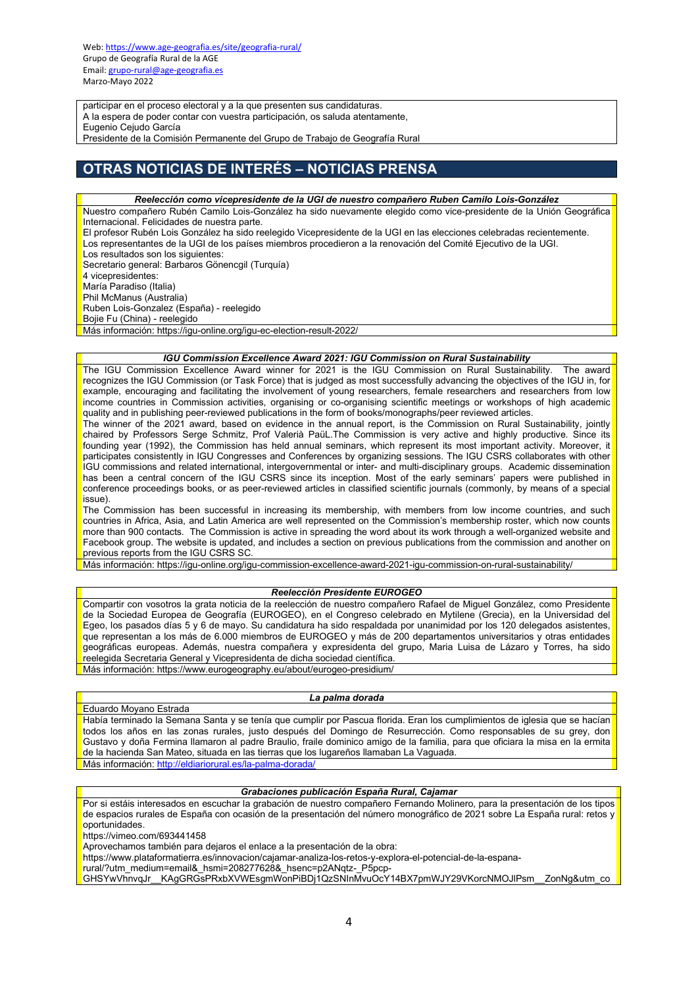participar en el proceso electoral y a la que presenten sus candidaturas. A la espera de poder contar con vuestra participación, os saluda atentamente, Eugenio Cejudo García Presidente de la Comisión Permanente del Grupo de Trabajo de Geografía Rural

# OTRAS NOTICIAS DE INTERÉS – NOTICIAS PRENSA

### Reelección como vicepresidente de la UGI de nuestro compañero Ruben Camilo Lois-González

Nuestro compañero Rubén Camilo Lois-González ha sido nuevamente elegido como vice-presidente de la Unión Geográfica Internacional. Felicidades de nuestra parte.

El profesor Rubén Lois González ha sido reelegido Vicepresidente de la UGI en las elecciones celebradas recientemente. Los representantes de la UGI de los países miembros procedieron a la renovación del Comité Ejecutivo de la UGI. Los resultados son los siguientes:

Secretario general: Barbaros Gönencgil (Turquía)

4 vicepresidentes:

María Paradiso (Italia)

Phil McManus (Australia)

Ruben Lois-Gonzalez (España) - reelegido

Bojie Fu (China) - reelegido

Más información: https://igu-online.org/igu-ec-election-result-2022/

### IGU Commission Excellence Award 2021: IGU Commission on Rural Sustainability

The IGU Commission Excellence Award winner for 2021 is the IGU Commission on Rural Sustainability. The award recognizes the IGU Commission (or Task Force) that is judged as most successfully advancing the objectives of the IGU in, for example, encouraging and facilitating the involvement of young researchers, female researchers and researchers from low income countries in Commission activities, organising or co-organising scientific meetings or workshops of high academic quality and in publishing peer-reviewed publications in the form of books/monographs/peer reviewed articles.

The winner of the 2021 award, based on evidence in the annual report, is the Commission on Rural Sustainability, jointly chaired by Professors Serge Schmitz, Prof Valerià PaüL.The Commission is very active and highly productive. Since its founding year (1992), the Commission has held annual seminars, which represent its most important activity. Moreover, it participates consistently in IGU Congresses and Conferences by organizing sessions. The IGU CSRS collaborates with other IGU commissions and related international, intergovernmental or inter- and multi-disciplinary groups. Academic dissemination has been a central concern of the IGU CSRS since its inception. Most of the early seminars' papers were published in conference proceedings books, or as peer-reviewed articles in classified scientific journals (commonly, by means of a special issue).

The Commission has been successful in increasing its membership, with members from low income countries, and such countries in Africa, Asia, and Latin America are well represented on the Commission's membership roster, which now counts more than 900 contacts. The Commission is active in spreading the word about its work through a well-organized website and Facebook group. The website is updated, and includes a section on previous publications from the commission and another on previous reports from the IGU CSRS SC.

Más información: https://igu-online.org/igu-commission-excellence-award-2021-igu-commission-on-rural-sustainability/

### Reelección Presidente EUROGEO

Compartir con vosotros la grata noticia de la reelección de nuestro compañero Rafael de Miguel González, como Presidente de la Sociedad Europea de Geografía (EUROGEO), en el Congreso celebrado en Mytilene (Grecia), en la Universidad del Egeo, los pasados días 5 y 6 de mayo. Su candidatura ha sido respaldada por unanimidad por los 120 delegados asistentes, que representan a los más de 6.000 miembros de EUROGEO y más de 200 departamentos universitarios y otras entidades geográficas europeas. Además, nuestra compañera y expresidenta del grupo, Maria Luisa de Lázaro y Torres, ha sido reelegida Secretaria General y Vicepresidenta de dicha sociedad científica. Más información: https://www.eurogeography.eu/about/eurogeo-presidium/

### La palma dorada

### Eduardo Moyano Estrada

Había terminado la Semana Santa y se tenía que cumplir por Pascua florida. Eran los cumplimientos de iglesia que se hacían todos los años en las zonas rurales, justo después del Domingo de Resurrección. Como responsables de su grey, don Gustavo y doña Fermina llamaron al padre Braulio, fraile dominico amigo de la familia, para que oficiara la misa en la ermita de la hacienda San Mateo, situada en las tierras que los lugareños llamaban La Vaguada. Más información: http://eldiariorural.es/la-palma-dorada

### Grabaciones publicación España Rural, Cajamar

Por si estáis interesados en escuchar la grabación de nuestro compañero Fernando Molinero, para la presentación de los tipos de espacios rurales de España con ocasión de la presentación del número monográfico de 2021 sobre La España rural: retos y oportunidades.

https://vimeo.com/693441458

Aprovechamos también para dejaros el enlace a la presentación de la obra:

https://www.plataformatierra.es/innovacion/cajamar-analiza-los-retos-y-explora-el-potencial-de-la-espana-

rural/?utm\_medium=email&\_hsmi=208277628&\_hsenc=p2ANqtz-\_P5pcp-

GHSYwVhnvqJr\_KAgGRGsPRxbXVWEsgmWonPiBDj1QzSNInMvuOcY14BX7pmWJY29VKorcNMOJlPsm\_ZonNg&utm\_co